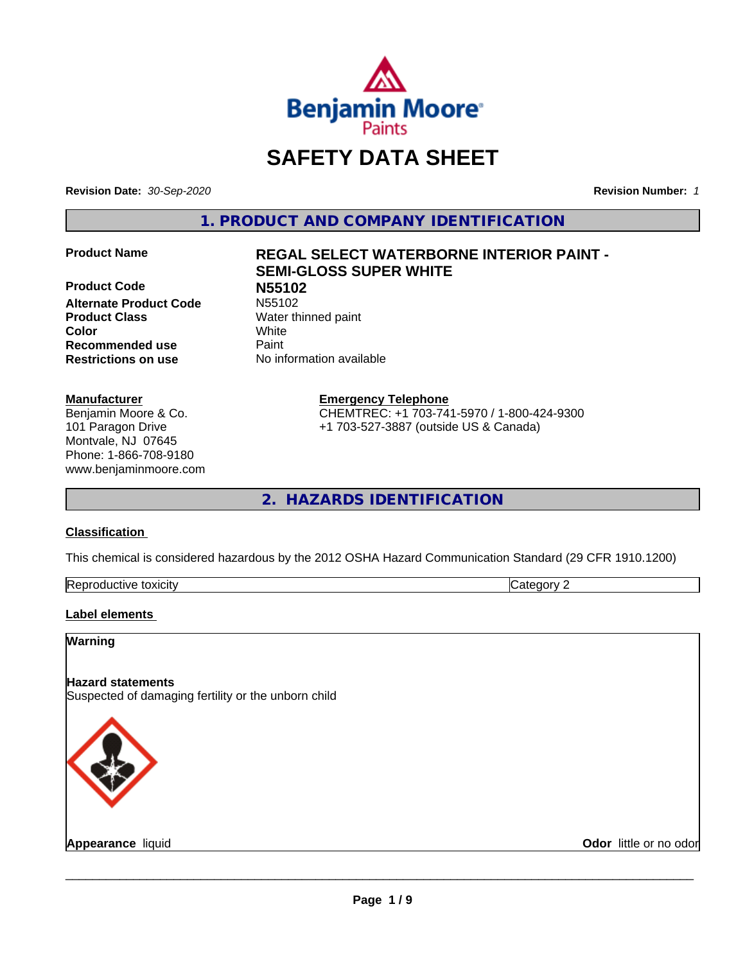

# **SAFETY DATA SHEET**

**Revision Date:** *30-Sep-2020* **Revision Number:** *1*

**1. PRODUCT AND COMPANY IDENTIFICATION**

**Product Code N55102 Alternate Product Code Product Class** Water thinned paint **Color** White **Recommended use Caint Restrictions on use** No information available

# **Manufacturer**

Benjamin Moore & Co. 101 Paragon Drive Montvale, NJ 07645 Phone: 1-866-708-9180 www.benjaminmoore.com

# **Product Name REGAL SELECT WATERBORNE INTERIOR PAINT - SEMI-GLOSS SUPER WHITE**

**Emergency Telephone**

CHEMTREC: +1 703-741-5970 / 1-800-424-9300 +1 703-527-3887 (outside US & Canada)

**2. HAZARDS IDENTIFICATION**

# **Classification**

This chemical is considered hazardous by the 2012 OSHA Hazard Communication Standard (29 CFR 1910.1200)

| -<br>Repr<br>toxicity | - - -<br>. זרי<br>.<br> |
|-----------------------|-------------------------|

# **Label elements**

# **Warning**

# **Hazard statements**

Suspected of damaging fertility or the unborn child



**Appearance** liquid **Contract Contract Contract Contract Contract Contract Contract Contract Contract Contract Contract Contract Contract Contract Contract Contract Contract Contract Contract Contract Contract Contract Con**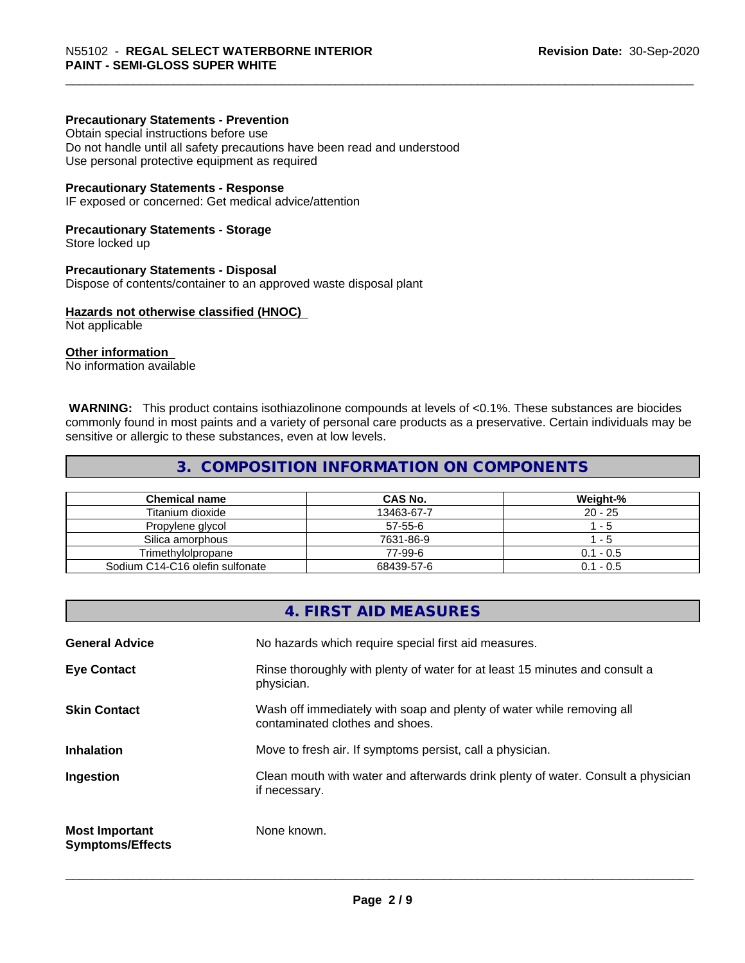# **Precautionary Statements - Prevention**

Obtain special instructions before use Do not handle until all safety precautions have been read and understood Use personal protective equipment as required

#### **Precautionary Statements - Response**

IF exposed or concerned: Get medical advice/attention

### **Precautionary Statements - Storage**

Store locked up

#### **Precautionary Statements - Disposal**

Dispose of contents/container to an approved waste disposal plant

#### **Hazards not otherwise classified (HNOC)**

Not applicable

# **Other information**

No information available

 **WARNING:** This product contains isothiazolinone compounds at levels of <0.1%. These substances are biocides commonly found in most paints and a variety of personal care products as a preservative. Certain individuals may be sensitive or allergic to these substances, even at low levels.

# **3. COMPOSITION INFORMATION ON COMPONENTS**

| <b>Chemical name</b>            | CAS No.    | Weight-%    |
|---------------------------------|------------|-------------|
| Titanium dioxide                | 13463-67-7 | $20 - 25$   |
| Propylene glycol                | 57-55-6    | - 5         |
| Silica amorphous                | 7631-86-9  | - 5         |
| Trimethvlolpropane              | 77-99-6    | $0.1 - 0.5$ |
| Sodium C14-C16 olefin sulfonate | 68439-57-6 | $0.1 - 0.5$ |

# **4. FIRST AID MEASURES**

| <b>General Advice</b>                            | No hazards which require special first aid measures.                                                     |
|--------------------------------------------------|----------------------------------------------------------------------------------------------------------|
| <b>Eye Contact</b>                               | Rinse thoroughly with plenty of water for at least 15 minutes and consult a<br>physician.                |
| <b>Skin Contact</b>                              | Wash off immediately with soap and plenty of water while removing all<br>contaminated clothes and shoes. |
| <b>Inhalation</b>                                | Move to fresh air. If symptoms persist, call a physician.                                                |
| Ingestion                                        | Clean mouth with water and afterwards drink plenty of water. Consult a physician<br>if necessary.        |
| <b>Most Important</b><br><b>Symptoms/Effects</b> | None known.                                                                                              |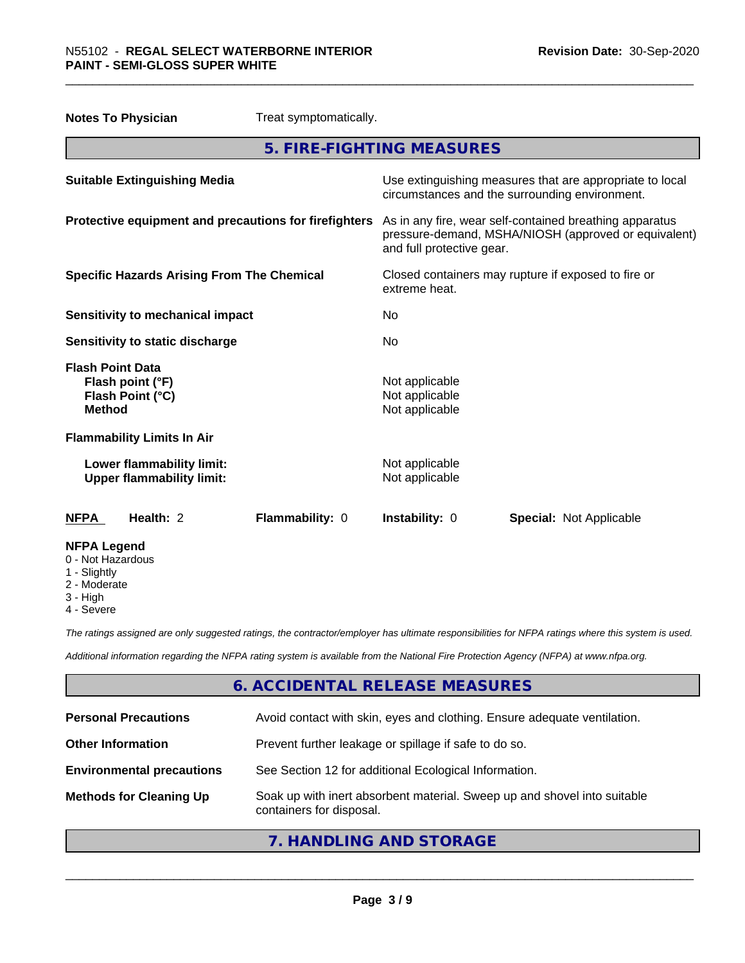| Treat symptomatically.<br><b>Notes To Physician</b>                              |                                                                                                                                              |
|----------------------------------------------------------------------------------|----------------------------------------------------------------------------------------------------------------------------------------------|
|                                                                                  | 5. FIRE-FIGHTING MEASURES                                                                                                                    |
| <b>Suitable Extinguishing Media</b>                                              | Use extinguishing measures that are appropriate to local<br>circumstances and the surrounding environment.                                   |
| Protective equipment and precautions for firefighters                            | As in any fire, wear self-contained breathing apparatus<br>pressure-demand, MSHA/NIOSH (approved or equivalent)<br>and full protective gear. |
| <b>Specific Hazards Arising From The Chemical</b>                                | Closed containers may rupture if exposed to fire or<br>extreme heat.                                                                         |
| <b>Sensitivity to mechanical impact</b>                                          | No                                                                                                                                           |
| Sensitivity to static discharge                                                  | No.                                                                                                                                          |
| <b>Flash Point Data</b><br>Flash point (°F)<br>Flash Point (°C)<br><b>Method</b> | Not applicable<br>Not applicable<br>Not applicable                                                                                           |
| <b>Flammability Limits In Air</b>                                                |                                                                                                                                              |
| Lower flammability limit:<br><b>Upper flammability limit:</b>                    | Not applicable<br>Not applicable                                                                                                             |
| Health: 2<br>Flammability: 0<br><b>NFPA</b>                                      | Instability: 0<br><b>Special: Not Applicable</b>                                                                                             |
| <b>NFPA Legend</b><br>0 - Not Hazardous<br>1 - Slightly<br>2 Moderate            |                                                                                                                                              |

- 2 Moderate
- 3 High
- 4 Severe

*The ratings assigned are only suggested ratings, the contractor/employer has ultimate responsibilities for NFPA ratings where this system is used.*

*Additional information regarding the NFPA rating system is available from the National Fire Protection Agency (NFPA) at www.nfpa.org.*

# **6. ACCIDENTAL RELEASE MEASURES**

| <b>Personal Precautions</b>      | Avoid contact with skin, eyes and clothing. Ensure adequate ventilation.                             |
|----------------------------------|------------------------------------------------------------------------------------------------------|
| <b>Other Information</b>         | Prevent further leakage or spillage if safe to do so.                                                |
| <b>Environmental precautions</b> | See Section 12 for additional Ecological Information.                                                |
| <b>Methods for Cleaning Up</b>   | Soak up with inert absorbent material. Sweep up and shovel into suitable<br>containers for disposal. |

# **7. HANDLING AND STORAGE**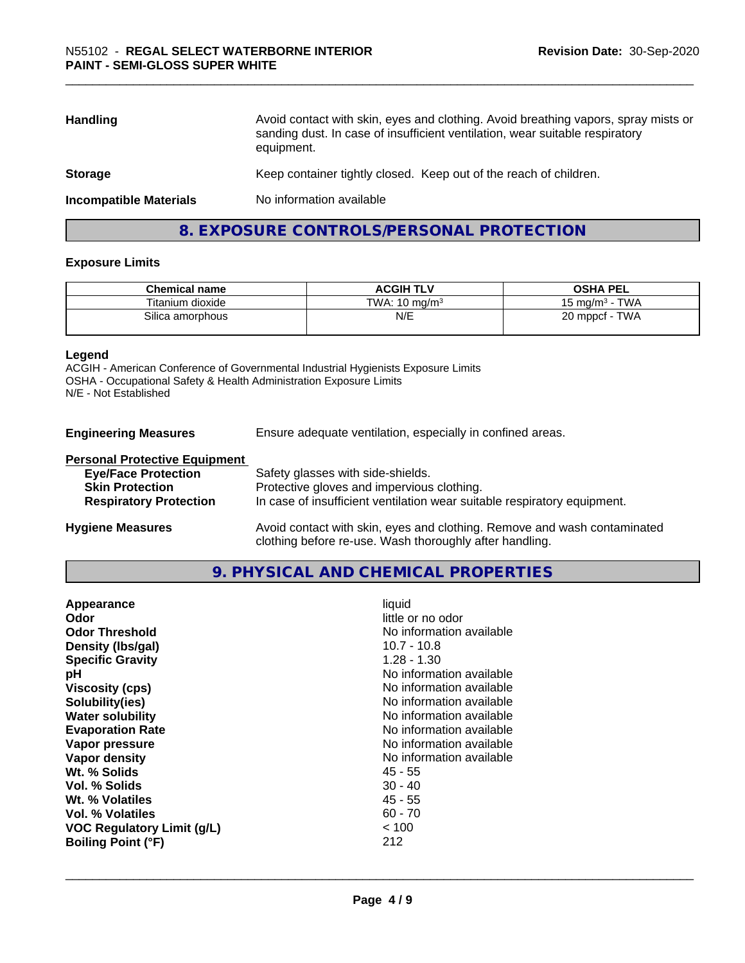| <b>Handling</b>               | Avoid contact with skin, eyes and clothing. Avoid breathing vapors, spray mists or<br>sanding dust. In case of insufficient ventilation, wear suitable respiratory<br>equipment. |
|-------------------------------|----------------------------------------------------------------------------------------------------------------------------------------------------------------------------------|
| <b>Storage</b>                | Keep container tightly closed. Keep out of the reach of children.                                                                                                                |
| <b>Incompatible Materials</b> | No information available                                                                                                                                                         |
|                               |                                                                                                                                                                                  |

# **8. EXPOSURE CONTROLS/PERSONAL PROTECTION**

# **Exposure Limits**

| <b>Chemical name</b> | <b>ACGIH TLV</b>         | <b>OSHA PEL</b>           |
|----------------------|--------------------------|---------------------------|
| Titanium dioxide     | TWA: $10 \text{ ma/m}^3$ | <b>TWA</b><br>15 mg/m $3$ |
| Silica amorphous     | N/E                      | TWA<br>$20$ mppcf -       |

### **Legend**

ACGIH - American Conference of Governmental Industrial Hygienists Exposure Limits OSHA - Occupational Safety & Health Administration Exposure Limits N/E - Not Established

| <b>Engineering Measures</b> | Ensure adequate ventilation, especially in confined areas. |
|-----------------------------|------------------------------------------------------------|
|-----------------------------|------------------------------------------------------------|

### **Personal Protective Equipment**

| <b>Eye/Face Protection</b>    | Safety glasses with side-shields.                                        |
|-------------------------------|--------------------------------------------------------------------------|
| <b>Skin Protection</b>        | Protective gloves and impervious clothing.                               |
| <b>Respiratory Protection</b> | In case of insufficient ventilation wear suitable respiratory equipment. |
| <b>Hygiene Measures</b>       | Avoid contact with skin, eyes and clothing. Remove and wash contaminated |

# **9. PHYSICAL AND CHEMICAL PROPERTIES**

clothing before re-use. Wash thoroughly after handling.

| Appearance<br>Odor<br><b>Odor Threshold</b><br>Density (Ibs/gal)<br><b>Specific Gravity</b><br>рH<br><b>Viscosity (cps)</b><br>Solubility(ies)<br><b>Water solubility</b><br><b>Evaporation Rate</b><br>Vapor pressure<br>Vapor density<br>Wt. % Solids<br>Vol. % Solids<br>Wt. % Volatiles<br>Vol. % Volatiles<br><b>VOC Regulatory Limit (g/L)</b> | liquid<br>little or no odor<br>No information available<br>$10.7 - 10.8$<br>$1.28 - 1.30$<br>No information available<br>No information available<br>No information available<br>No information available<br>No information available<br>No information available<br>No information available<br>45 - 55<br>$30 - 40$<br>$45 - 55$<br>$60 - 70$<br>~< 100 |
|------------------------------------------------------------------------------------------------------------------------------------------------------------------------------------------------------------------------------------------------------------------------------------------------------------------------------------------------------|-----------------------------------------------------------------------------------------------------------------------------------------------------------------------------------------------------------------------------------------------------------------------------------------------------------------------------------------------------------|
| <b>Boiling Point (°F)</b>                                                                                                                                                                                                                                                                                                                            | 212                                                                                                                                                                                                                                                                                                                                                       |
|                                                                                                                                                                                                                                                                                                                                                      |                                                                                                                                                                                                                                                                                                                                                           |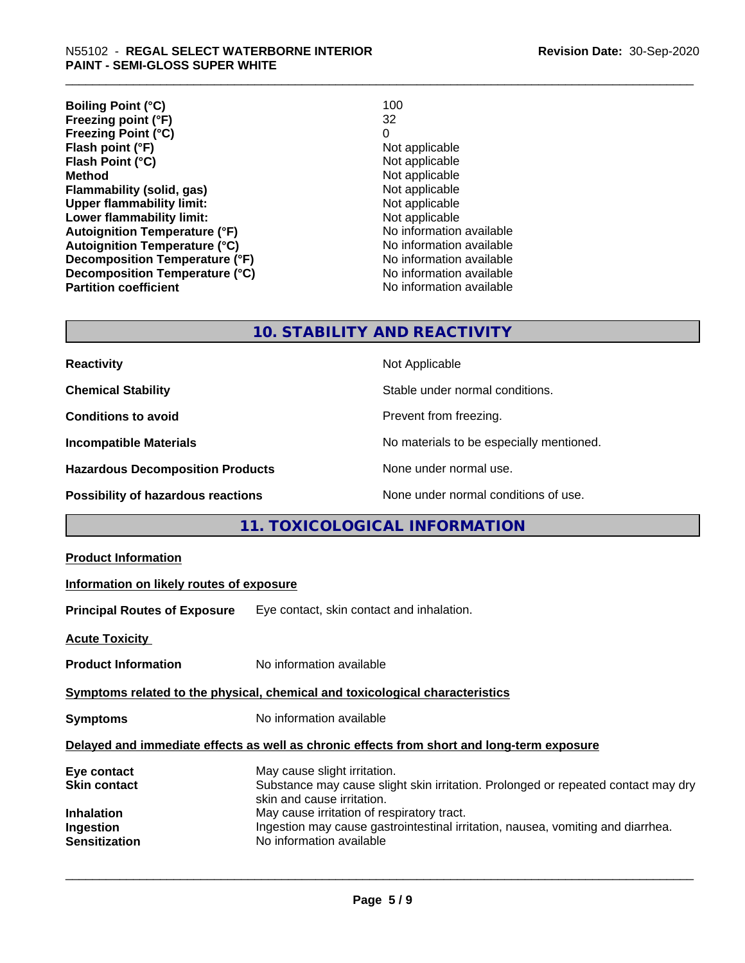| <b>Boiling Point (°C)</b>            | 100                      |
|--------------------------------------|--------------------------|
| Freezing point (°F)                  | 32                       |
| <b>Freezing Point (°C)</b>           | 0                        |
| Flash point (°F)                     | Not applicable           |
| Flash Point (°C)                     | Not applicable           |
| <b>Method</b>                        | Not applicable           |
| Flammability (solid, gas)            | Not applicable           |
| <b>Upper flammability limit:</b>     | Not applicable           |
| Lower flammability limit:            | Not applicable           |
| <b>Autoignition Temperature (°F)</b> | No information available |
| <b>Autoignition Temperature (°C)</b> | No information available |
| Decomposition Temperature (°F)       | No information available |
| Decomposition Temperature (°C)       | No information available |
| <b>Partition coefficient</b>         | No information available |

# **10. STABILITY AND REACTIVITY**

| <b>Reactivity</b>                         | Not Applicable                           |
|-------------------------------------------|------------------------------------------|
| <b>Chemical Stability</b>                 | Stable under normal conditions.          |
| <b>Conditions to avoid</b>                | Prevent from freezing.                   |
| <b>Incompatible Materials</b>             | No materials to be especially mentioned. |
| <b>Hazardous Decomposition Products</b>   | None under normal use.                   |
| <b>Possibility of hazardous reactions</b> | None under normal conditions of use.     |

# **11. TOXICOLOGICAL INFORMATION**

| <b>Product Information</b><br>Information on likely routes of exposure<br>Eye contact, skin contact and inhalation.<br>No information available<br>No information available<br>Delayed and immediate effects as well as chronic effects from short and long-term exposure<br>May cause slight irritation.<br>Eye contact<br>Substance may cause slight skin irritation. Prolonged or repeated contact may dry<br><b>Skin contact</b><br>skin and cause irritation.<br>May cause irritation of respiratory tract.<br>Ingestion may cause gastrointestinal irritation, nausea, vomiting and diarrhea.<br>No information available |                                                                              |  |  |  |  |
|---------------------------------------------------------------------------------------------------------------------------------------------------------------------------------------------------------------------------------------------------------------------------------------------------------------------------------------------------------------------------------------------------------------------------------------------------------------------------------------------------------------------------------------------------------------------------------------------------------------------------------|------------------------------------------------------------------------------|--|--|--|--|
|                                                                                                                                                                                                                                                                                                                                                                                                                                                                                                                                                                                                                                 |                                                                              |  |  |  |  |
|                                                                                                                                                                                                                                                                                                                                                                                                                                                                                                                                                                                                                                 |                                                                              |  |  |  |  |
|                                                                                                                                                                                                                                                                                                                                                                                                                                                                                                                                                                                                                                 | <b>Principal Routes of Exposure</b>                                          |  |  |  |  |
|                                                                                                                                                                                                                                                                                                                                                                                                                                                                                                                                                                                                                                 | <b>Acute Toxicity</b>                                                        |  |  |  |  |
|                                                                                                                                                                                                                                                                                                                                                                                                                                                                                                                                                                                                                                 | <b>Product Information</b>                                                   |  |  |  |  |
|                                                                                                                                                                                                                                                                                                                                                                                                                                                                                                                                                                                                                                 | Symptoms related to the physical, chemical and toxicological characteristics |  |  |  |  |
|                                                                                                                                                                                                                                                                                                                                                                                                                                                                                                                                                                                                                                 | <b>Symptoms</b>                                                              |  |  |  |  |
|                                                                                                                                                                                                                                                                                                                                                                                                                                                                                                                                                                                                                                 |                                                                              |  |  |  |  |
|                                                                                                                                                                                                                                                                                                                                                                                                                                                                                                                                                                                                                                 | <b>Inhalation</b><br>Ingestion                                               |  |  |  |  |
|                                                                                                                                                                                                                                                                                                                                                                                                                                                                                                                                                                                                                                 | <b>Sensitization</b>                                                         |  |  |  |  |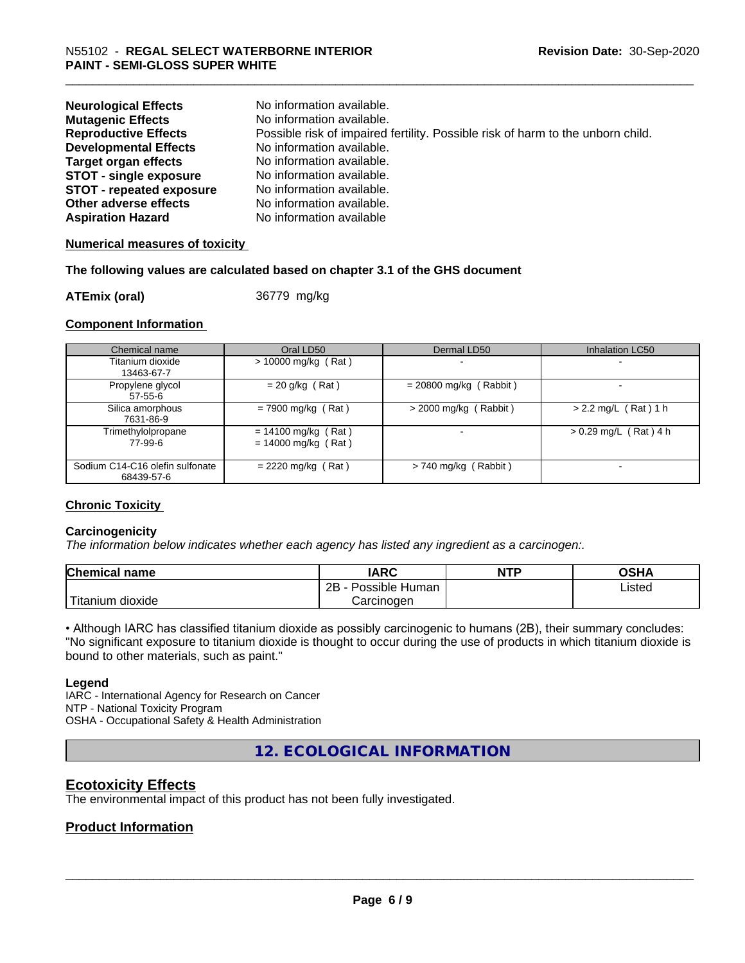| <b>Neurological Effects</b>     | No information available.                                                       |
|---------------------------------|---------------------------------------------------------------------------------|
| <b>Mutagenic Effects</b>        | No information available.                                                       |
| <b>Reproductive Effects</b>     | Possible risk of impaired fertility. Possible risk of harm to the unborn child. |
| <b>Developmental Effects</b>    | No information available.                                                       |
| <b>Target organ effects</b>     | No information available.                                                       |
| <b>STOT - single exposure</b>   | No information available.                                                       |
| <b>STOT - repeated exposure</b> | No information available.                                                       |
| Other adverse effects           | No information available.                                                       |
| <b>Aspiration Hazard</b>        | No information available                                                        |

# **Numerical measures of toxicity**

# **The following values are calculated based on chapter 3.1 of the GHS document**

**ATEmix (oral)** 36779 mg/kg

# **Component Information**

| Chemical name                                 | Oral LD50                                      | Dermal LD50              | Inhalation LC50         |
|-----------------------------------------------|------------------------------------------------|--------------------------|-------------------------|
| Titanium dioxide<br>13463-67-7                | $> 10000$ mg/kg (Rat)                          |                          |                         |
| Propylene glycol<br>$57-55-6$                 | $= 20$ g/kg (Rat)                              | $= 20800$ mg/kg (Rabbit) |                         |
| Silica amorphous<br>7631-86-9                 | $= 7900$ mg/kg (Rat)                           | $>$ 2000 mg/kg (Rabbit)  | $> 2.2$ mg/L (Rat) 1 h  |
| Trimethylolpropane<br>77-99-6                 | $= 14100$ mg/kg (Rat)<br>$= 14000$ mg/kg (Rat) |                          | $> 0.29$ mg/L (Rat) 4 h |
| Sodium C14-C16 olefin sulfonate<br>68439-57-6 | $= 2220$ mg/kg (Rat)                           | $> 740$ mg/kg (Rabbit)   |                         |

# **Chronic Toxicity**

# **Carcinogenicity**

*The information below indicateswhether each agency has listed any ingredient as a carcinogen:.*

| <b>Chemical name</b>       | <b>IARC</b>          | <b>NTP</b> | <b>OSHA</b> |
|----------------------------|----------------------|------------|-------------|
|                            | 2B<br>Possible Human |            | Listed<br>. |
| $'$ Titanium<br>m dioxide. | Carcinoɑen           |            |             |

• Although IARC has classified titanium dioxide as possibly carcinogenic to humans (2B), their summary concludes: "No significant exposure to titanium dioxide is thought to occur during the use of products in which titanium dioxide is bound to other materials, such as paint."

# **Legend**

IARC - International Agency for Research on Cancer NTP - National Toxicity Program OSHA - Occupational Safety & Health Administration

**12. ECOLOGICAL INFORMATION**

# **Ecotoxicity Effects**

The environmental impact of this product has not been fully investigated.

# **Product Information**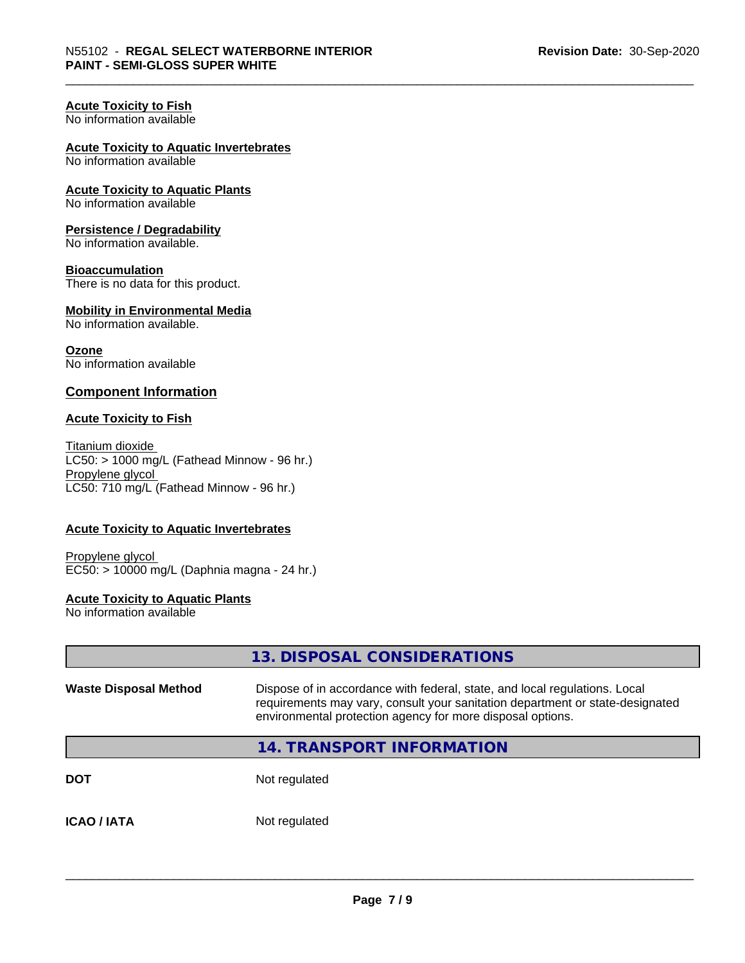# **Acute Toxicity to Fish**

No information available

# **Acute Toxicity to Aquatic Invertebrates**

No information available

**Acute Toxicity to Aquatic Plants** No information available

# **Persistence / Degradability**

No information available.

# **Bioaccumulation**

There is no data for this product.

#### **Mobility in Environmental Media** No information available.

**Ozone** No information available

# **Component Information**

# **Acute Toxicity to Fish**

Titanium dioxide  $LC50:$  > 1000 mg/L (Fathead Minnow - 96 hr.) Propylene glycol LC50: 710 mg/L (Fathead Minnow - 96 hr.)

# **Acute Toxicity to Aquatic Invertebrates**

Propylene glycol EC50: > 10000 mg/L (Daphnia magna - 24 hr.)

# **Acute Toxicity to Aquatic Plants**

No information available

|                              | 13. DISPOSAL CONSIDERATIONS                                                                                                                                                                                               |
|------------------------------|---------------------------------------------------------------------------------------------------------------------------------------------------------------------------------------------------------------------------|
| <b>Waste Disposal Method</b> | Dispose of in accordance with federal, state, and local regulations. Local<br>requirements may vary, consult your sanitation department or state-designated<br>environmental protection agency for more disposal options. |
|                              | <b>14. TRANSPORT INFORMATION</b>                                                                                                                                                                                          |
| <b>DOT</b>                   | Not regulated                                                                                                                                                                                                             |
| <b>ICAO / IATA</b>           | Not regulated                                                                                                                                                                                                             |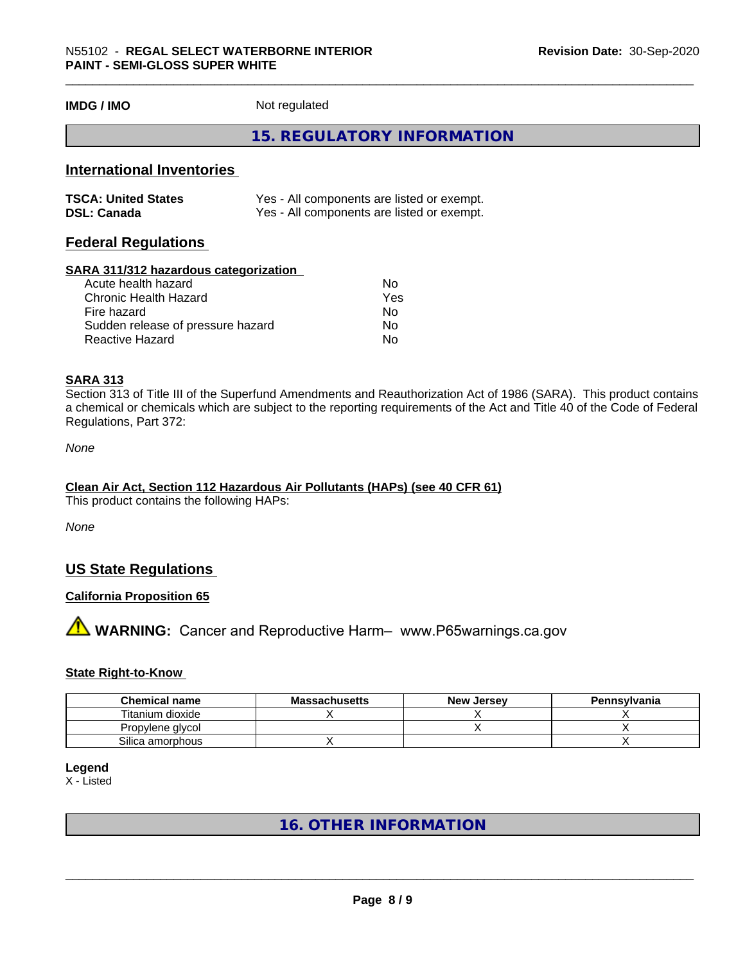**IMDG / IMO** Not regulated

# **15. REGULATORY INFORMATION**

# **International Inventories**

| <b>TSCA: United States</b> | Yes - All components are listed or exempt. |
|----------------------------|--------------------------------------------|
| <b>DSL: Canada</b>         | Yes - All components are listed or exempt. |

# **Federal Regulations**

### **SARA 311/312 hazardous categorization**

| Acute health hazard               | No. |
|-----------------------------------|-----|
| Chronic Health Hazard             | Yes |
| Fire hazard                       | N٥  |
| Sudden release of pressure hazard | Nο  |
| Reactive Hazard                   | N٥  |

# **SARA 313**

Section 313 of Title III of the Superfund Amendments and Reauthorization Act of 1986 (SARA). This product contains a chemical or chemicals which are subject to the reporting requirements of the Act and Title 40 of the Code of Federal Regulations, Part 372:

*None*

# **Clean Air Act,Section 112 Hazardous Air Pollutants (HAPs) (see 40 CFR 61)**

This product contains the following HAPs:

*None*

# **US State Regulations**

# **California Proposition 65**

# **AVIMARNING:** Cancer and Reproductive Harm– www.P65warnings.ca.gov

# **State Right-to-Know**

| <b>Chemical name</b> | <b>Massachusetts</b> | <b>New Jersey</b> | Pennsylvania |
|----------------------|----------------------|-------------------|--------------|
| Titanium dioxide     |                      |                   |              |
| Propylene glycol     |                      |                   |              |
| Silica amorphous     |                      |                   |              |

# **Legend**

X - Listed

# **16. OTHER INFORMATION**